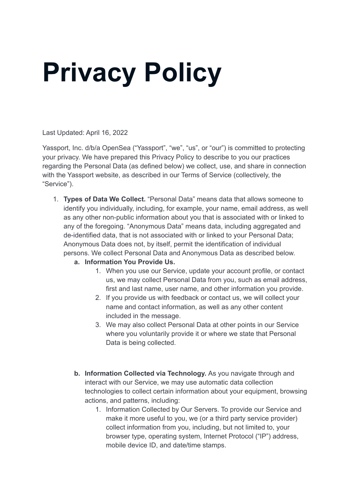## **Privacy Policy**

Last Updated: April 16, 2022

Yassport, Inc. d/b/a OpenSea ("Yassport", "we", "us", or "our") is committed to protecting your privacy. We have prepared this Privacy Policy to describe to you our practices regarding the Personal Data (as defined below) we collect, use, and share in connection with the Yassport website, as described in our Terms of Service (collectively, the "Service").

- 1. **Types of Data We Collect.** "Personal Data" means data that allows someone to identify you individually, including, for example, your name, email address, as well as any other non-public information about you that is associated with or linked to any of the foregoing. "Anonymous Data" means data, including aggregated and de-identified data, that is not associated with or linked to your Personal Data; Anonymous Data does not, by itself, permit the identification of individual persons. We collect Personal Data and Anonymous Data as described below.
	- **a. Information You Provide Us.**
		- 1. When you use our Service, update your account profile, or contact us, we may collect Personal Data from you, such as email address, first and last name, user name, and other information you provide.
		- 2. If you provide us with feedback or contact us, we will collect your name and contact information, as well as any other content included in the message.
		- 3. We may also collect Personal Data at other points in our Service where you voluntarily provide it or where we state that Personal Data is being collected.
	- **b. Information Collected via Technology.** As you navigate through and interact with our Service, we may use automatic data collection technologies to collect certain information about your equipment, browsing actions, and patterns, including:
		- 1. Information Collected by Our Servers. To provide our Service and make it more useful to you, we (or a third party service provider) collect information from you, including, but not limited to, your browser type, operating system, Internet Protocol ("IP") address, mobile device ID, and date/time stamps.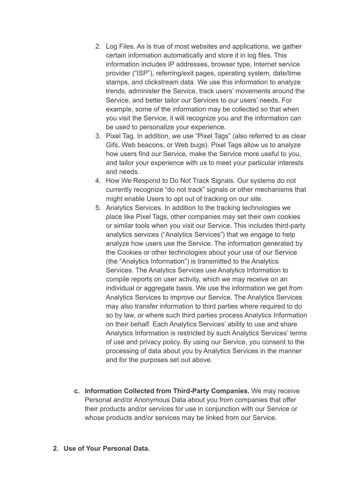- 2. Log Files. As is true of most websites and applications, we gather certain information automatically and store it in log files. This information includes IP addresses, browser type, Internet service provider ("ISP"), referring/exit pages, operating system, date/time stamps, and clickstream data. We use this information to analyze trends, administer the Service, track users' movements around the Service, and better tailor our Services to our users' needs. For example, some of the information may be collected so that when you visit the Service, it will recognize you and the information can be used to personalize your experience.
- 3. Pixel Tag. In addition, we use "Pixel Tags" (also referred to as clear Gifs, Web beacons, or Web bugs). Pixel Tags allow us to analyze how users find our Service, make the Service more useful to you, and tailor your experience with us to meet your particular interests and needs.
- 4. How We Respond to Do Not Track Signals. Our systems do not currently recognize "do not track" signals or other mechanisms that might enable Users to opt out of tracking on our site.
- 5. Analytics Services. In addition to the tracking technologies we place like Pixel Tags, other companies may set their own cookies or similar tools when you visit our Service. This includes third-party analytics services ("Analytics Services") that we engage to help analyze how users use the Service. The information generated by the Cookies or other technologies about your use of our Service (the "Analytics Information") is transmitted to the Analytics Services. The Analytics Services use Analytics Information to compile reports on user activity, which we may receive on an individual or aggregate basis. We use the information we get from Analytics Services to improve our Service. The Analytics Services may also transfer information to third parties where required to do so by law, or where such third parties process Analytics Information on their behalf. Each Analytics Services' ability to use and share Analytics Information is restricted by such Analytics Services' terms of use and privacy policy. By using our Service, you consent to the processing of data about you by Analytics Services in the manner and for the purposes set out above.
- **c. Information Collected from Third-Party Companies.** We may receive Personal and/or Anonymous Data about you from companies that offer their products and/or services for use in conjunction with our Service or whose products and/or services may be linked from our Service.

## **2. Use of Your Personal Data.**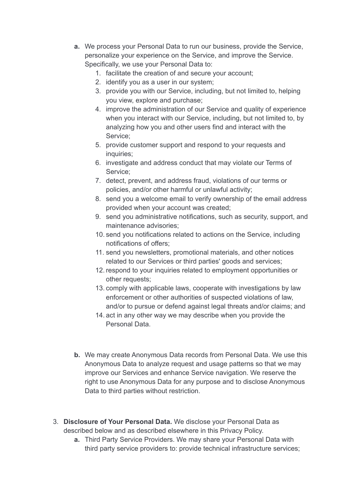- **a.** We process your Personal Data to run our business, provide the Service, personalize your experience on the Service, and improve the Service. Specifically, we use your Personal Data to:
	- 1. facilitate the creation of and secure your account;
	- 2. identify you as a user in our system;
	- 3. provide you with our Service, including, but not limited to, helping you view, explore and purchase;
	- 4. improve the administration of our Service and quality of experience when you interact with our Service, including, but not limited to, by analyzing how you and other users find and interact with the Service;
	- 5. provide customer support and respond to your requests and inquiries;
	- 6. investigate and address conduct that may violate our Terms of Service;
	- 7. detect, prevent, and address fraud, violations of our terms or policies, and/or other harmful or unlawful activity;
	- 8. send you a welcome email to verify ownership of the email address provided when your account was created;
	- 9. send you administrative notifications, such as security, support, and maintenance advisories;
	- 10. send you notifications related to actions on the Service, including notifications of offers;
	- 11. send you newsletters, promotional materials, and other notices related to our Services or third parties' goods and services;
	- 12. respond to your inquiries related to employment opportunities or other requests;
	- 13. comply with applicable laws, cooperate with investigations by law enforcement or other authorities of suspected violations of law, and/or to pursue or defend against legal threats and/or claims; and
	- 14. act in any other way we may describe when you provide the Personal Data.
- **b.** We may create Anonymous Data records from Personal Data. We use this Anonymous Data to analyze request and usage patterns so that we may improve our Services and enhance Service navigation. We reserve the right to use Anonymous Data for any purpose and to disclose Anonymous Data to third parties without restriction.
- 3. **Disclosure of Your Personal Data.** We disclose your Personal Data as described below and as described elsewhere in this Privacy Policy.
	- **a.** Third Party Service Providers. We may share your Personal Data with third party service providers to: provide technical infrastructure services;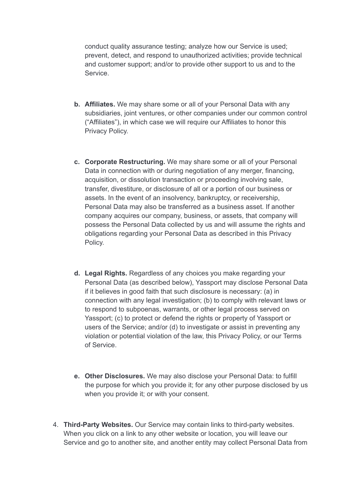conduct quality assurance testing; analyze how our Service is used; prevent, detect, and respond to unauthorized activities; provide technical and customer support; and/or to provide other support to us and to the **Service** 

- **b. Affiliates.** We may share some or all of your Personal Data with any subsidiaries, joint ventures, or other companies under our common control ("Affiliates"), in which case we will require our Affiliates to honor this Privacy Policy.
- **c. Corporate Restructuring.** We may share some or all of your Personal Data in connection with or during negotiation of any merger, financing, acquisition, or dissolution transaction or proceeding involving sale, transfer, divestiture, or disclosure of all or a portion of our business or assets. In the event of an insolvency, bankruptcy, or receivership, Personal Data may also be transferred as a business asset. If another company acquires our company, business, or assets, that company will possess the Personal Data collected by us and will assume the rights and obligations regarding your Personal Data as described in this Privacy Policy.
- **d. Legal Rights.** Regardless of any choices you make regarding your Personal Data (as described below), Yassport may disclose Personal Data if it believes in good faith that such disclosure is necessary: (a) in connection with any legal investigation; (b) to comply with relevant laws or to respond to subpoenas, warrants, or other legal process served on Yassport; (c) to protect or defend the rights or property of Yassport or users of the Service; and/or (d) to investigate or assist in preventing any violation or potential violation of the law, this Privacy Policy, or our Terms of Service.
- **e. Other Disclosures.** We may also disclose your Personal Data: to fulfill the purpose for which you provide it; for any other purpose disclosed by us when you provide it; or with your consent.
- 4. **Third-Party Websites.** Our Service may contain links to third-party websites. When you click on a link to any other website or location, you will leave our Service and go to another site, and another entity may collect Personal Data from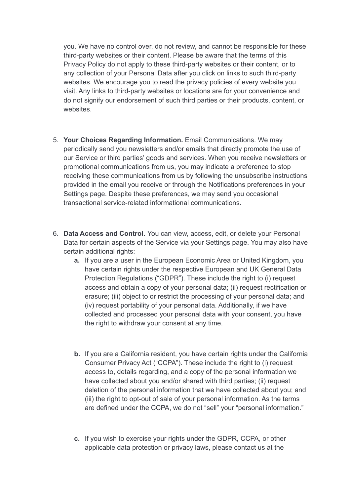you. We have no control over, do not review, and cannot be responsible for these third-party websites or their content. Please be aware that the terms of this Privacy Policy do not apply to these third-party websites or their content, or to any collection of your Personal Data after you click on links to such third-party websites. We encourage you to read the privacy policies of every website you visit. Any links to third-party websites or locations are for your convenience and do not signify our endorsement of such third parties or their products, content, or websites.

- 5. **Your Choices Regarding Information.** Email Communications. We may periodically send you newsletters and/or emails that directly promote the use of our Service or third parties' goods and services. When you receive newsletters or promotional communications from us, you may indicate a preference to stop receiving these communications from us by following the unsubscribe instructions provided in the email you receive or through the Notifications preferences in your Settings page. Despite these preferences, we may send you occasional transactional service-related informational communications.
- 6. **Data Access and Control.** You can view, access, edit, or delete your Personal Data for certain aspects of the Service via your Settings page. You may also have certain additional rights:
	- **a.** If you are a user in the European Economic Area or United Kingdom, you have certain rights under the respective European and UK General Data Protection Regulations ("GDPR"). These include the right to (i) request access and obtain a copy of your personal data; (ii) request rectification or erasure; (iii) object to or restrict the processing of your personal data; and (iv) request portability of your personal data. Additionally, if we have collected and processed your personal data with your consent, you have the right to withdraw your consent at any time.
	- **b.** If you are a California resident, you have certain rights under the California Consumer Privacy Act ("CCPA"). These include the right to (i) request access to, details regarding, and a copy of the personal information we have collected about you and/or shared with third parties; (ii) request deletion of the personal information that we have collected about you; and (iii) the right to opt-out of sale of your personal information. As the terms are defined under the CCPA, we do not "sell" your "personal information."
	- **c.** If you wish to exercise your rights under the GDPR, CCPA, or other applicable data protection or privacy laws, please contact us at the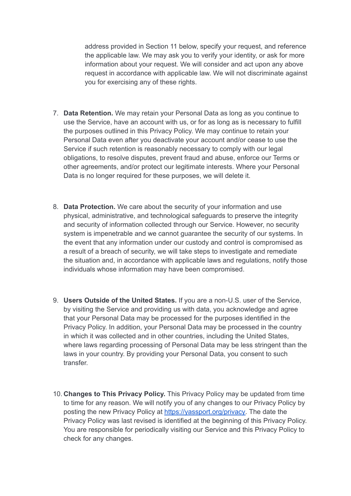address provided in Section 11 below, specify your request, and reference the applicable law. We may ask you to verify your identity, or ask for more information about your request. We will consider and act upon any above request in accordance with applicable law. We will not discriminate against you for exercising any of these rights.

- 7. **Data Retention.** We may retain your Personal Data as long as you continue to use the Service, have an account with us, or for as long as is necessary to fulfill the purposes outlined in this Privacy Policy. We may continue to retain your Personal Data even after you deactivate your account and/or cease to use the Service if such retention is reasonably necessary to comply with our legal obligations, to resolve disputes, prevent fraud and abuse, enforce our Terms or other agreements, and/or protect our legitimate interests. Where your Personal Data is no longer required for these purposes, we will delete it.
- 8. **Data Protection.** We care about the security of your information and use physical, administrative, and technological safeguards to preserve the integrity and security of information collected through our Service. However, no security system is impenetrable and we cannot guarantee the security of our systems. In the event that any information under our custody and control is compromised as a result of a breach of security, we will take steps to investigate and remediate the situation and, in accordance with applicable laws and regulations, notify those individuals whose information may have been compromised.
- 9. **Users Outside of the United States.** If you are a non-U.S. user of the Service, by visiting the Service and providing us with data, you acknowledge and agree that your Personal Data may be processed for the purposes identified in the Privacy Policy. In addition, your Personal Data may be processed in the country in which it was collected and in other countries, including the United States, where laws regarding processing of Personal Data may be less stringent than the laws in your country. By providing your Personal Data, you consent to such transfer.
- 10. **Changes to This Privacy Policy.** This Privacy Policy may be updated from time to time for any reason. We will notify you of any changes to our Privacy Policy by posting the new Privacy Policy at [https://yassport.org/privacy.](https://yassport.org/privacy) The date the Privacy Policy was last revised is identified at the beginning of this Privacy Policy. You are responsible for periodically visiting our Service and this Privacy Policy to check for any changes.